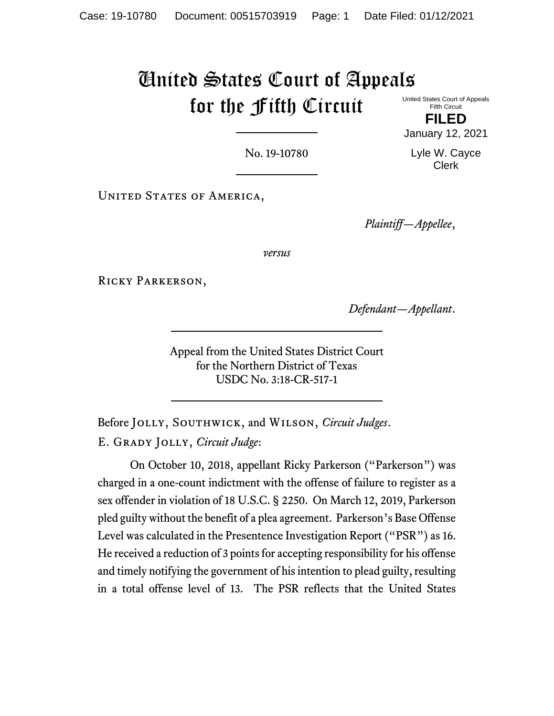# United States Court of Appeals for the Fifth Circuit United States Court of Appeals

Fifth Circuit **FILED**

No. 19-10780

Lyle W. Cayce Clerk

January 12, 2021

UNITED STATES OF AMERICA,

*Plaintiff—Appellee*,

*versus*

Ricky Parkerson,

*Defendant—Appellant*.

Appeal from the United States District Court for the Northern District of Texas USDC No. 3:18-CR-517-1

Before Jolly, Southwick, and Wilson, *Circuit Judges*. E. Grady Jolly, *Circuit Judge*:

On October 10, 2018, appellant Ricky Parkerson ("Parkerson") was charged in a one-count indictment with the offense of failure to register as a sex offender in violation of 18 U.S.C. § 2250.On March 12, 2019, Parkerson pled guilty without the benefit of a plea agreement. Parkerson's Base Offense Level was calculated in the Presentence Investigation Report ("PSR") as 16. He received a reduction of 3 points for accepting responsibility for his offense and timely notifying the government of his intention to plead guilty, resulting in a total offense level of 13. The PSR reflects that the United States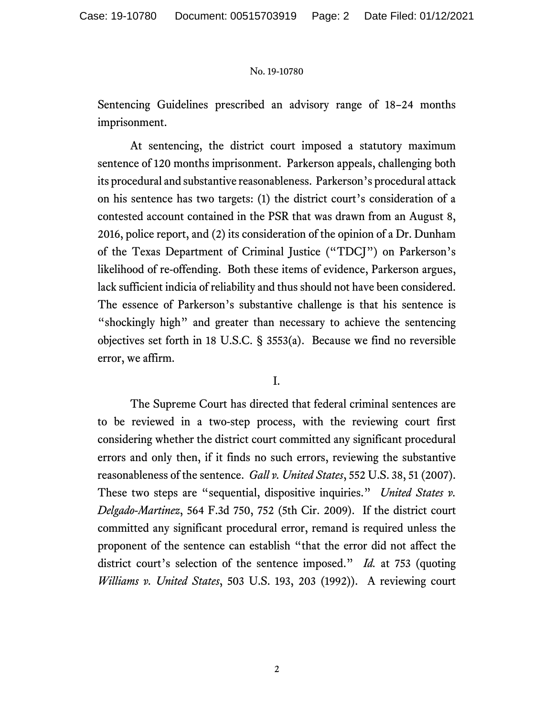Sentencing Guidelines prescribed an advisory range of 18–24 months imprisonment.

At sentencing, the district court imposed a statutory maximum sentence of 120 months imprisonment. Parkerson appeals, challenging both its procedural and substantive reasonableness. Parkerson's procedural attack on his sentence has two targets: (1) the district court's consideration of a contested account contained in the PSR that was drawn from an August 8, 2016, police report, and (2) its consideration of the opinion of a Dr. Dunham of the Texas Department of Criminal Justice ("TDCJ") on Parkerson's likelihood of re-offending. Both these items of evidence, Parkerson argues, lack sufficient indicia of reliability and thus should not have been considered. The essence of Parkerson's substantive challenge is that his sentence is "shockingly high" and greater than necessary to achieve the sentencing objectives set forth in 18 U.S.C. § 3553(a). Because we find no reversible error, we affirm.

# I.

The Supreme Court has directed that federal criminal sentences are to be reviewed in a two-step process, with the reviewing court first considering whether the district court committed any significant procedural errors and only then, if it finds no such errors, reviewing the substantive reasonableness of the sentence. *Gall v. United States*, 552 U.S. 38, 51 (2007). These two steps are "sequential, dispositive inquiries." *United States v. Delgado-Martinez*, 564 F.3d 750, 752 (5th Cir. 2009). If the district court committed any significant procedural error, remand is required unless the proponent of the sentence can establish "that the error did not affect the district court's selection of the sentence imposed." *Id.* at 753 (quoting *Williams v. United States*, 503 U.S. 193, 203 (1992)). A reviewing court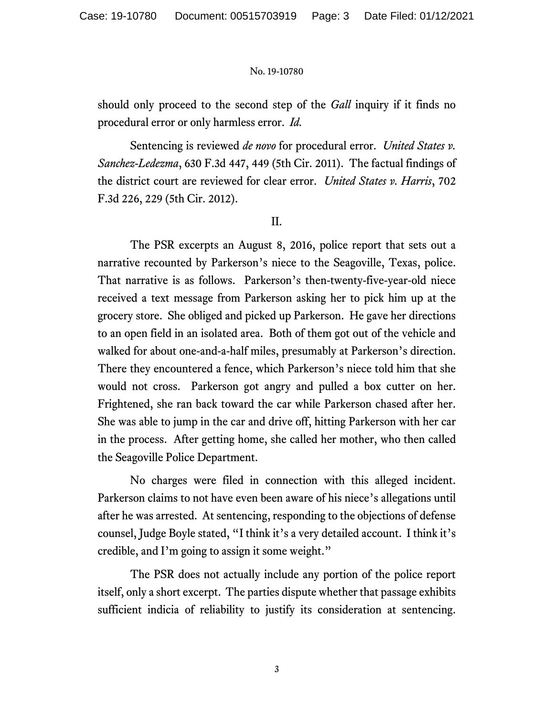should only proceed to the second step of the *Gall* inquiry if it finds no procedural error or only harmless error. *Id.*

Sentencing is reviewed *de novo* for procedural error. *United States v. Sanchez-Ledezma*, 630 F.3d 447, 449 (5th Cir. 2011). The factual findings of the district court are reviewed for clear error. *United States v. Harris*, 702 F.3d 226, 229 (5th Cir. 2012).

### II.

The PSR excerpts an August 8, 2016, police report that sets out a narrative recounted by Parkerson's niece to the Seagoville, Texas, police. That narrative is as follows. Parkerson's then-twenty-five-year-old niece received a text message from Parkerson asking her to pick him up at the grocery store. She obliged and picked up Parkerson. He gave her directions to an open field in an isolated area. Both of them got out of the vehicle and walked for about one-and-a-half miles, presumably at Parkerson's direction. There they encountered a fence, which Parkerson's niece told him that she would not cross. Parkerson got angry and pulled a box cutter on her. Frightened, she ran back toward the car while Parkerson chased after her. She was able to jump in the car and drive off, hitting Parkerson with her car in the process. After getting home, she called her mother, who then called the Seagoville Police Department.

No charges were filed in connection with this alleged incident. Parkerson claims to not have even been aware of his niece's allegations until after he was arrested. At sentencing, responding to the objections of defense counsel, Judge Boyle stated, "I think it's a very detailed account. I think it's credible, and I'm going to assign it some weight."

The PSR does not actually include any portion of the police report itself, only a short excerpt. The parties dispute whether that passage exhibits sufficient indicia of reliability to justify its consideration at sentencing.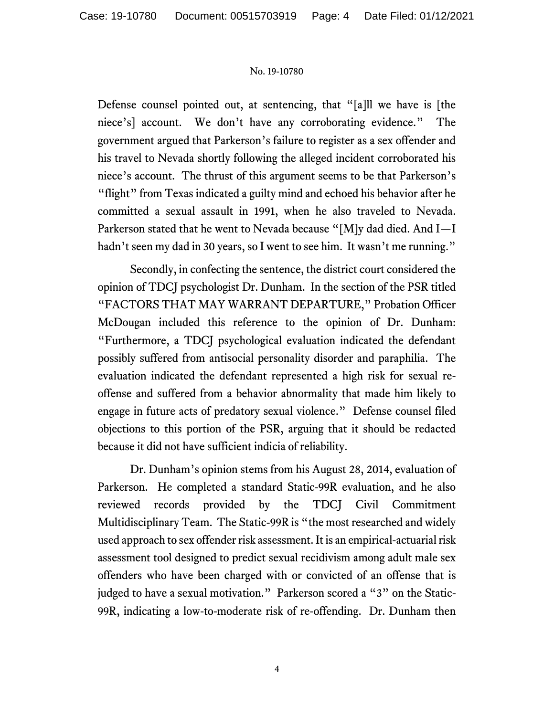Defense counsel pointed out, at sentencing, that "[a]ll we have is [the niece's] account. We don't have any corroborating evidence." The government argued that Parkerson's failure to register as a sex offender and his travel to Nevada shortly following the alleged incident corroborated his niece's account. The thrust of this argument seems to be that Parkerson's "flight" from Texas indicated a guilty mind and echoed his behavior after he committed a sexual assault in 1991, when he also traveled to Nevada. Parkerson stated that he went to Nevada because "[M]y dad died. And I—I hadn't seen my dad in 30 years, so I went to see him. It wasn't me running."

Secondly, in confecting the sentence, the district court considered the opinion of TDCJ psychologist Dr. Dunham. In the section of the PSR titled "FACTORS THAT MAY WARRANT DEPARTURE," Probation Officer McDougan included this reference to the opinion of Dr. Dunham: "Furthermore, a TDCJ psychological evaluation indicated the defendant possibly suffered from antisocial personality disorder and paraphilia. The evaluation indicated the defendant represented a high risk for sexual reoffense and suffered from a behavior abnormality that made him likely to engage in future acts of predatory sexual violence." Defense counsel filed objections to this portion of the PSR, arguing that it should be redacted because it did not have sufficient indicia of reliability.

Dr. Dunham's opinion stems from his August 28, 2014, evaluation of Parkerson. He completed a standard Static-99R evaluation, and he also reviewed records provided by the TDCJ Civil Commitment Multidisciplinary Team. The Static-99R is "the most researched and widely used approach to sex offender risk assessment. It is an empirical-actuarial risk assessment tool designed to predict sexual recidivism among adult male sex offenders who have been charged with or convicted of an offense that is judged to have a sexual motivation."Parkerson scored a "3" on the Static-99R, indicating a low-to-moderate risk of re-offending. Dr. Dunham then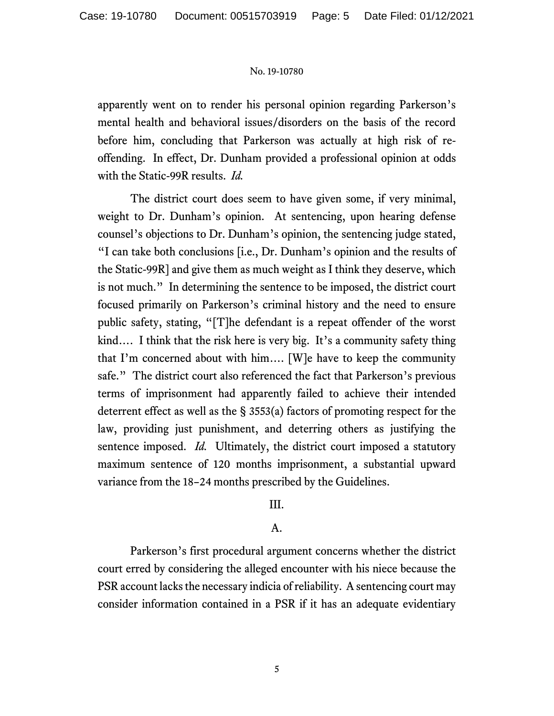apparently went on to render his personal opinion regarding Parkerson's mental health and behavioral issues/disorders on the basis of the record before him, concluding that Parkerson was actually at high risk of reoffending. In effect, Dr. Dunham provided a professional opinion at odds with the Static-99R results. *Id.*

The district court does seem to have given some, if very minimal, weight to Dr. Dunham's opinion. At sentencing, upon hearing defense counsel's objections to Dr. Dunham's opinion, the sentencing judge stated, "I can take both conclusions [i.e., Dr. Dunham's opinion and the results of the Static-99R] and give them as much weight as I think they deserve, which is not much." In determining the sentence to be imposed, the district court focused primarily on Parkerson's criminal history and the need to ensure public safety, stating, "[T]he defendant is a repeat offender of the worst kind…. I think that the risk here is very big. It's a community safety thing that I'm concerned about with him…. [W]e have to keep the community safe." The district court also referenced the fact that Parkerson's previous terms of imprisonment had apparently failed to achieve their intended deterrent effect as well as the § 3553(a) factors of promoting respect for the law, providing just punishment, and deterring others as justifying the sentence imposed. *Id.* Ultimately, the district court imposed a statutory maximum sentence of 120 months imprisonment, a substantial upward variance from the 18–24 months prescribed by the Guidelines.

# III.

# A.

Parkerson's first procedural argument concerns whether the district court erred by considering the alleged encounter with his niece because the PSR account lacks the necessary indicia of reliability. A sentencing court may consider information contained in a PSR if it has an adequate evidentiary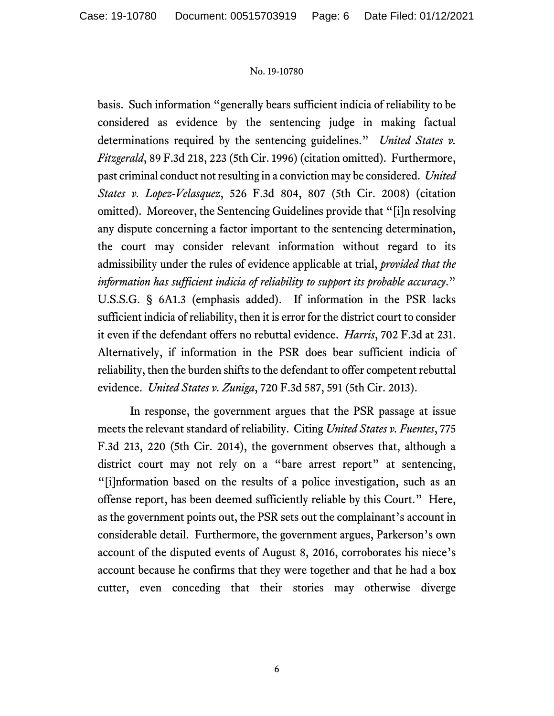basis. Such information "generally bears sufficient indicia of reliability to be considered as evidence by the sentencing judge in making factual determinations required by the sentencing guidelines." *United States v. Fitzgerald*, 89 F.3d 218, 223 (5th Cir. 1996) (citation omitted). Furthermore, past criminal conduct not resulting in a conviction may be considered. *United States v. Lopez-Velasquez*, 526 F.3d 804, 807 (5th Cir. 2008) (citation omitted). Moreover, the Sentencing Guidelines provide that "[i]n resolving any dispute concerning a factor important to the sentencing determination, the court may consider relevant information without regard to its admissibility under the rules of evidence applicable at trial, *provided that the information has sufficient indicia of reliability to support its probable accuracy*." U.S.S.G. § 6A1.3 (emphasis added). If information in the PSR lacks sufficient indicia of reliability, then it is error for the district court to consider it even if the defendant offers no rebuttal evidence. *Harris*, 702 F.3d at 231. Alternatively, if information in the PSR does bear sufficient indicia of reliability, then the burden shifts to the defendant to offer competent rebuttal evidence. *United States v. Zuniga*, 720 F.3d 587, 591 (5th Cir. 2013).

In response, the government argues that the PSR passage at issue meets the relevant standard of reliability. Citing *United States v. Fuentes*, 775 F.3d 213, 220 (5th Cir. 2014), the government observes that, although a district court may not rely on a "bare arrest report" at sentencing, "[i]nformation based on the results of a police investigation, such as an offense report, has been deemed sufficiently reliable by this Court." Here, as the government points out, the PSR sets out the complainant's account in considerable detail.Furthermore, the government argues, Parkerson's own account of the disputed events of August 8, 2016, corroborates his niece's account because he confirms that they were together and that he had a box cutter, even conceding that their stories may otherwise diverge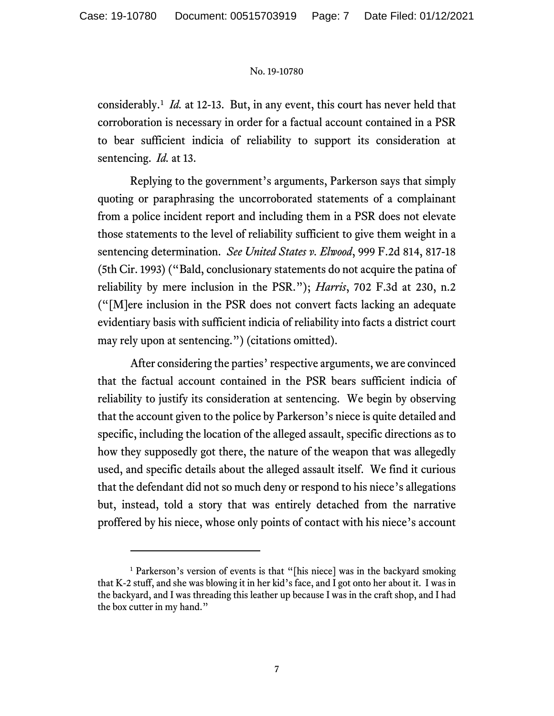considerably.<sup>[1](#page-6-0)</sup> *Id.* at 12-13. But, in any event, this court has never held that corroboration is necessary in order for a factual account contained in a PSR to bear sufficient indicia of reliability to support its consideration at sentencing. *Id.* at 13.

Replying to the government's arguments, Parkerson says that simply quoting or paraphrasing the uncorroborated statements of a complainant from a police incident report and including them in a PSR does not elevate those statements to the level of reliability sufficient to give them weight in a sentencing determination. *See United States v. Elwood*, 999 F.2d 814, 817-18 (5th Cir. 1993) ("Bald, conclusionary statements do not acquire the patina of reliability by mere inclusion in the PSR."); *Harris*, 702 F.3d at 230, n.2 ("[M]ere inclusion in the PSR does not convert facts lacking an adequate evidentiary basis with sufficient indicia of reliability into facts a district court may rely upon at sentencing.") (citations omitted).

After considering the parties' respective arguments, we are convinced that the factual account contained in the PSR bears sufficient indicia of reliability to justify its consideration at sentencing. We begin by observing that the account given to the police by Parkerson's niece is quite detailed and specific, including the location of the alleged assault, specific directions as to how they supposedly got there, the nature of the weapon that was allegedly used, and specific details about the alleged assault itself. We find it curious that the defendant did not so much deny or respond to his niece's allegations but, instead, told a story that was entirely detached from the narrative proffered by his niece, whose only points of contact with his niece's account

<span id="page-6-0"></span><sup>&</sup>lt;sup>1</sup> Parkerson's version of events is that "[his niece] was in the backyard smoking that K-2 stuff, and she was blowing it in her kid's face, and I got onto her about it. I was in the backyard, and I was threading this leather up because I was in the craft shop, and I had the box cutter in my hand."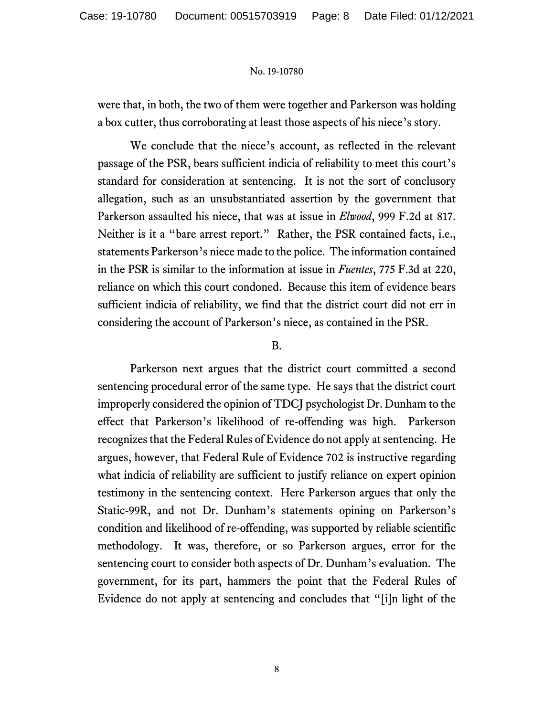were that, in both, the two of them were together and Parkerson was holding a box cutter, thus corroborating at least those aspects of his niece's story.

We conclude that the niece's account, as reflected in the relevant passage of the PSR, bears sufficient indicia of reliability to meet this court's standard for consideration at sentencing. It is not the sort of conclusory allegation, such as an unsubstantiated assertion by the government that Parkerson assaulted his niece, that was at issue in *Elwood*, 999 F.2d at 817. Neither is it a "bare arrest report." Rather, the PSR contained facts, i.e., statements Parkerson's niece made to the police. The information contained in the PSR is similar to the information at issue in *Fuentes*, 775 F.3d at 220, reliance on which this court condoned. Because this item of evidence bears sufficient indicia of reliability, we find that the district court did not err in considering the account of Parkerson's niece, as contained in the PSR.

### B.

Parkerson next argues that the district court committed a second sentencing procedural error of the same type. He says that the district court improperly considered the opinion of TDCJ psychologist Dr. Dunham to the effect that Parkerson's likelihood of re-offending was high. Parkerson recognizes that the Federal Rules of Evidence do not apply at sentencing. He argues, however, that Federal Rule of Evidence 702 is instructive regarding what indicia of reliability are sufficient to justify reliance on expert opinion testimony in the sentencing context. Here Parkerson argues that only the Static-99R, and not Dr. Dunham's statements opining on Parkerson's condition and likelihood of re-offending, was supported by reliable scientific methodology. It was, therefore, or so Parkerson argues, error for the sentencing court to consider both aspects of Dr. Dunham's evaluation. The government, for its part, hammers the point that the Federal Rules of Evidence do not apply at sentencing and concludes that "[i]n light of the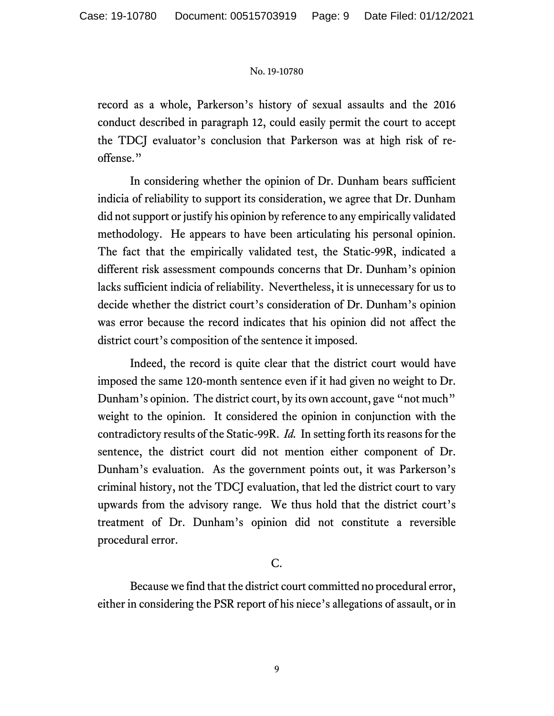record as a whole, Parkerson's history of sexual assaults and the 2016 conduct described in paragraph 12, could easily permit the court to accept the TDCJ evaluator's conclusion that Parkerson was at high risk of reoffense."

In considering whether the opinion of Dr. Dunham bears sufficient indicia of reliability to support its consideration, we agree that Dr. Dunham did not support or justify his opinion by reference to any empirically validated methodology. He appears to have been articulating his personal opinion. The fact that the empirically validated test, the Static-99R, indicated a different risk assessment compounds concerns that Dr. Dunham's opinion lacks sufficient indicia of reliability. Nevertheless, it is unnecessary for us to decide whether the district court's consideration of Dr. Dunham's opinion was error because the record indicates that his opinion did not affect the district court's composition of the sentence it imposed.

Indeed, the record is quite clear that the district court would have imposed the same 120-month sentence even if it had given no weight to Dr. Dunham's opinion. The district court, by its own account, gave "not much" weight to the opinion. It considered the opinion in conjunction with the contradictory results of the Static-99R. *Id.* In setting forth its reasons for the sentence, the district court did not mention either component of Dr. Dunham's evaluation. As the government points out, it was Parkerson's criminal history, not the TDCJ evaluation, that led the district court to vary upwards from the advisory range. We thus hold that the district court's treatment of Dr. Dunham's opinion did not constitute a reversible procedural error.

# C.

Because we find that the district court committed no procedural error, either in considering the PSR report of his niece's allegations of assault, or in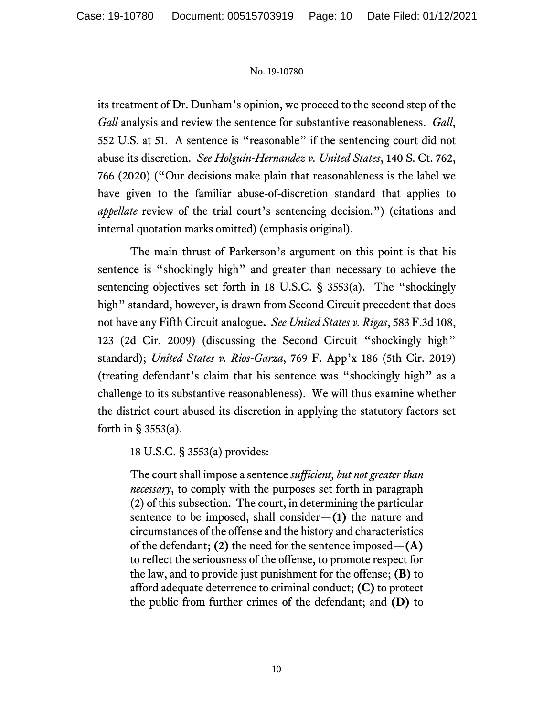its treatment of Dr. Dunham's opinion, we proceed to the second step of the *Gall* analysis and review the sentence for substantive reasonableness. *Gall*, 552 U.S. at 51. A sentence is "reasonable" if the sentencing court did not abuse its discretion. *See Holguin-Hernandez v. United States*, 140 S. Ct. 762, 766 (2020) ("Our decisions make plain that reasonableness is the label we have given to the familiar abuse-of-discretion standard that applies to *appellate* review of the trial court's sentencing decision.") (citations and internal quotation marks omitted) (emphasis original).

The main thrust of Parkerson's argument on this point is that his sentence is "shockingly high" and greater than necessary to achieve the sentencing objectives set forth in 18 U.S.C. § 3553(a). The "shockingly high" standard, however, is drawn from Second Circuit precedent that does not have any Fifth Circuit analogue**.** *See United States v. Rigas*, 583 F.3d 108, 123 (2d Cir. 2009) (discussing the Second Circuit "shockingly high" standard); *United States v. Rios-Garza*, 769 F. App'x 186 (5th Cir. 2019) (treating defendant's claim that his sentence was "shockingly high" as a challenge to its substantive reasonableness). We will thus examine whether the district court abused its discretion in applying the statutory factors set forth in  $\S$  3553(a).

18 U.S.C. § 3553(a) provides:

The court shall impose a sentence *sufficient, but not greater than necessary*, to comply with the purposes set forth in paragraph (2) of this subsection. The court, in determining the particular sentence to be imposed, shall consider—**(1)** the nature and circumstances of the offense and the history and characteristics of the defendant; **(2)** the need for the sentence imposed—**(A)**  to reflect the seriousness of the offense, to promote respect for the law, and to provide just punishment for the offense; **(B)** to afford adequate deterrence to criminal conduct; **(C)** to protect the public from further crimes of the defendant; and **(D)** to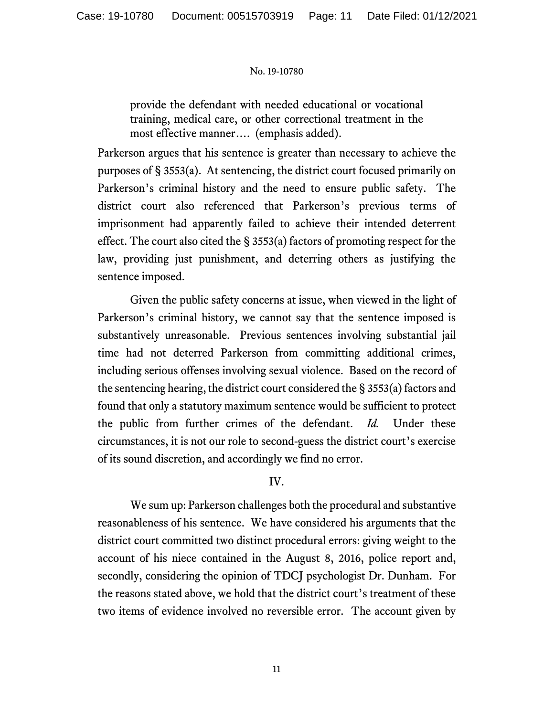provide the defendant with needed educational or vocational training, medical care, or other correctional treatment in the most effective manner…. (emphasis added).

Parkerson argues that his sentence is greater than necessary to achieve the purposes of § 3553(a). At sentencing, the district court focused primarily on Parkerson's criminal history and the need to ensure public safety. The district court also referenced that Parkerson's previous terms of imprisonment had apparently failed to achieve their intended deterrent effect. The court also cited the § 3553(a) factors of promoting respect for the law, providing just punishment, and deterring others as justifying the sentence imposed.

Given the public safety concerns at issue, when viewed in the light of Parkerson's criminal history, we cannot say that the sentence imposed is substantively unreasonable. Previous sentences involving substantial jail time had not deterred Parkerson from committing additional crimes, including serious offenses involving sexual violence. Based on the record of the sentencing hearing, the district court considered the § 3553(a) factors and found that only a statutory maximum sentence would be sufficient to protect the public from further crimes of the defendant. *Id.* Under these circumstances, it is not our role to second-guess the district court's exercise of its sound discretion, and accordingly we find no error.

# IV.

We sum up: Parkerson challenges both the procedural and substantive reasonableness of his sentence. We have considered his arguments that the district court committed two distinct procedural errors: giving weight to the account of his niece contained in the August 8, 2016, police report and, secondly, considering the opinion of TDCJ psychologist Dr. Dunham. For the reasons stated above, we hold that the district court's treatment of these two items of evidence involved no reversible error. The account given by